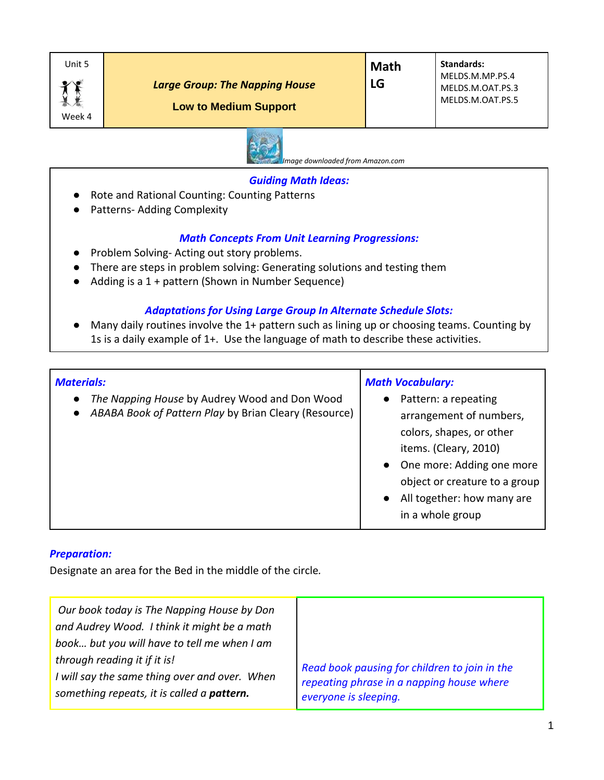

Week 4

*Large Group: The Napping House* **Low to Medium Support**

**Standards:** MELDS.M.MP.PS.4 MELDS.M.OAT.PS.3 MELDS.M.OAT.PS.5



 *Image downloaded from Amazon.com*

#### *Guiding Math Ideas:*

- Rote and Rational Counting: Counting Patterns
- Patterns- Adding Complexity

# *Math Concepts From Unit Learning Progressions:*

- Problem Solving- Acting out story problems.
- There are steps in problem solving: Generating solutions and testing them
- Adding is a 1 + pattern (Shown in Number Sequence)

### *Adaptations for Using Large Group In Alternate Schedule Slots:*

● Many daily routines involve the 1+ pattern such as lining up or choosing teams. Counting by 1s is a daily example of 1+. Use the language of math to describe these activities.

| <b>Materials:</b>                                                                                                   | <b>Math Vocabulary:</b>                                                                                                                                                                                              |
|---------------------------------------------------------------------------------------------------------------------|----------------------------------------------------------------------------------------------------------------------------------------------------------------------------------------------------------------------|
| The Napping House by Audrey Wood and Don Wood<br>$\bullet$<br>ABABA Book of Pattern Play by Brian Cleary (Resource) | Pattern: a repeating<br>arrangement of numbers,<br>colors, shapes, or other<br>items. (Cleary, 2010)<br>One more: Adding one more<br>object or creature to a group<br>All together: how many are<br>in a whole group |

#### *Preparation:*

Designate an area for the Bed in the middle of the circle*.*

| Our book today is The Napping House by Don<br>and Audrey Wood. I think it might be a math<br>book but you will have to tell me when I am |                                               |
|------------------------------------------------------------------------------------------------------------------------------------------|-----------------------------------------------|
| through reading it if it is!                                                                                                             | Read book pausing for children to join in the |
| I will say the same thing over and over. When                                                                                            | repeating phrase in a napping house where     |
| something repeats, it is called a <b>pattern.</b>                                                                                        | everyone is sleeping.                         |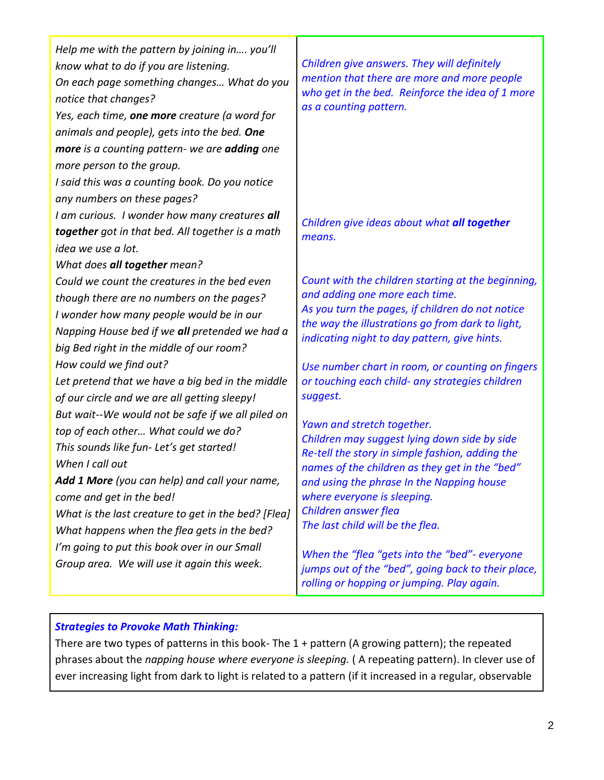| Help me with the pattern by joining in you'll<br>know what to do if you are listening.<br>On each page something changes What do you<br>notice that changes?<br>Yes, each time, one more creature (a word for<br>animals and people), gets into the bed. One<br>more is a counting pattern- we are adding one<br>more person to the group.<br>I said this was a counting book. Do you notice<br>any numbers on these pages?                                                                               | Children give answers. They will definitely<br>mention that there are more and more people<br>who get in the bed. Reinforce the idea of 1 more<br>as a counting pattern.                                                                                                                                                                                                                                                                                                                         |
|-----------------------------------------------------------------------------------------------------------------------------------------------------------------------------------------------------------------------------------------------------------------------------------------------------------------------------------------------------------------------------------------------------------------------------------------------------------------------------------------------------------|--------------------------------------------------------------------------------------------------------------------------------------------------------------------------------------------------------------------------------------------------------------------------------------------------------------------------------------------------------------------------------------------------------------------------------------------------------------------------------------------------|
| I am curious. I wonder how many creatures all<br>together got in that bed. All together is a math<br>idea we use a lot.                                                                                                                                                                                                                                                                                                                                                                                   | Children give ideas about what all together<br>means.                                                                                                                                                                                                                                                                                                                                                                                                                                            |
| What does all together mean?                                                                                                                                                                                                                                                                                                                                                                                                                                                                              |                                                                                                                                                                                                                                                                                                                                                                                                                                                                                                  |
| Could we count the creatures in the bed even<br>though there are no numbers on the pages?<br>I wonder how many people would be in our<br>Napping House bed if we all pretended we had a<br>big Bed right in the middle of our room?<br>How could we find out?<br>Let pretend that we have a big bed in the middle<br>of our circle and we are all getting sleepy!<br>But wait--We would not be safe if we all piled on<br>top of each other What could we do?<br>This sounds like fun- Let's get started! | Count with the children starting at the beginning,<br>and adding one more each time.<br>As you turn the pages, if children do not notice<br>the way the illustrations go from dark to light,<br>indicating night to day pattern, give hints.<br>Use number chart in room, or counting on fingers<br>or touching each child- any strategies children<br>suggest.<br>Yawn and stretch together.<br>Children may suggest lying down side by side<br>Re-tell the story in simple fashion, adding the |
| When I call out<br>Add 1 More (you can help) and call your name,<br>come and get in the bed!<br>What is the last creature to get in the bed? [Flea]<br>What happens when the flea gets in the bed?<br>I'm going to put this book over in our Small<br>Group area. We will use it again this week.                                                                                                                                                                                                         | names of the children as they get in the "bed"<br>and using the phrase In the Napping house<br>where everyone is sleeping.<br>Children answer flea<br>The last child will be the flea.<br>When the "flea "gets into the "bed"- everyone<br>jumps out of the "bed", going back to their place,<br>rolling or hopping or jumping. Play again.                                                                                                                                                      |

# *Strategies to Provoke Math Thinking:*

There are two types of patterns in this book- The 1 + pattern (A growing pattern); the repeated phrases about the *napping house where everyone is sleeping.* ( A repeating pattern). In clever use of ever increasing light from dark to light is related to a pattern (if it increased in a regular, observable